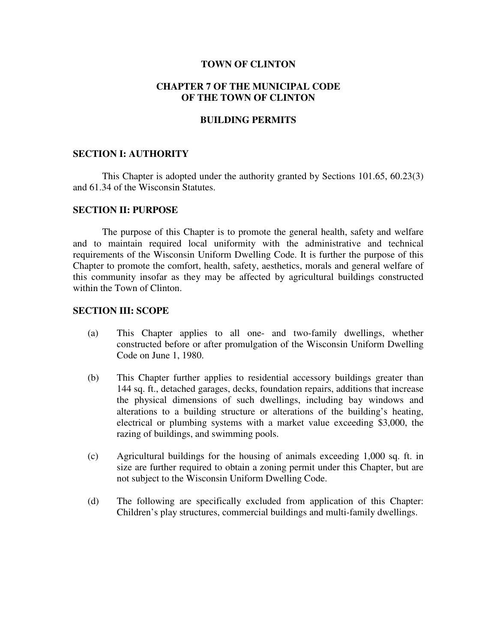### **TOWN OF CLINTON**

## **CHAPTER 7 OF THE MUNICIPAL CODE OF THE TOWN OF CLINTON**

## **BUILDING PERMITS**

### **SECTION I: AUTHORITY**

 This Chapter is adopted under the authority granted by Sections 101.65, 60.23(3) and 61.34 of the Wisconsin Statutes.

## **SECTION II: PURPOSE**

 The purpose of this Chapter is to promote the general health, safety and welfare and to maintain required local uniformity with the administrative and technical requirements of the Wisconsin Uniform Dwelling Code. It is further the purpose of this Chapter to promote the comfort, health, safety, aesthetics, morals and general welfare of this community insofar as they may be affected by agricultural buildings constructed within the Town of Clinton.

## **SECTION III: SCOPE**

- (a) This Chapter applies to all one- and two-family dwellings, whether constructed before or after promulgation of the Wisconsin Uniform Dwelling Code on June 1, 1980.
- (b) This Chapter further applies to residential accessory buildings greater than 144 sq. ft., detached garages, decks, foundation repairs, additions that increase the physical dimensions of such dwellings, including bay windows and alterations to a building structure or alterations of the building's heating, electrical or plumbing systems with a market value exceeding \$3,000, the razing of buildings, and swimming pools.
- (c) Agricultural buildings for the housing of animals exceeding 1,000 sq. ft. in size are further required to obtain a zoning permit under this Chapter, but are not subject to the Wisconsin Uniform Dwelling Code.
- (d) The following are specifically excluded from application of this Chapter: Children's play structures, commercial buildings and multi-family dwellings.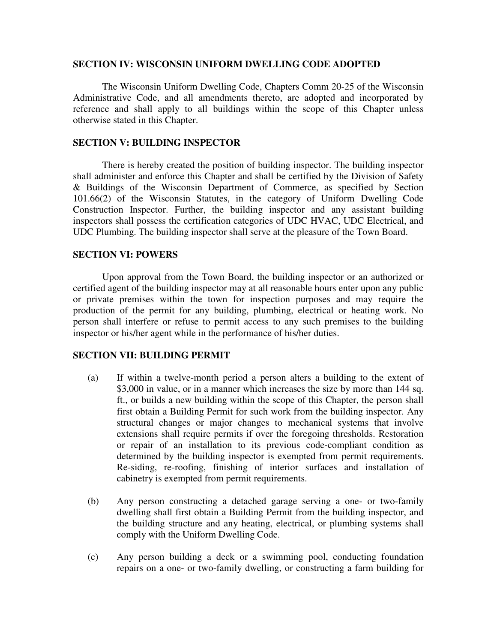#### **SECTION IV: WISCONSIN UNIFORM DWELLING CODE ADOPTED**

 The Wisconsin Uniform Dwelling Code, Chapters Comm 20-25 of the Wisconsin Administrative Code, and all amendments thereto, are adopted and incorporated by reference and shall apply to all buildings within the scope of this Chapter unless otherwise stated in this Chapter.

## **SECTION V: BUILDING INSPECTOR**

 There is hereby created the position of building inspector. The building inspector shall administer and enforce this Chapter and shall be certified by the Division of Safety & Buildings of the Wisconsin Department of Commerce, as specified by Section 101.66(2) of the Wisconsin Statutes, in the category of Uniform Dwelling Code Construction Inspector. Further, the building inspector and any assistant building inspectors shall possess the certification categories of UDC HVAC, UDC Electrical, and UDC Plumbing. The building inspector shall serve at the pleasure of the Town Board.

## **SECTION VI: POWERS**

 Upon approval from the Town Board, the building inspector or an authorized or certified agent of the building inspector may at all reasonable hours enter upon any public or private premises within the town for inspection purposes and may require the production of the permit for any building, plumbing, electrical or heating work. No person shall interfere or refuse to permit access to any such premises to the building inspector or his/her agent while in the performance of his/her duties.

## **SECTION VII: BUILDING PERMIT**

- (a) If within a twelve-month period a person alters a building to the extent of \$3,000 in value, or in a manner which increases the size by more than 144 sq. ft., or builds a new building within the scope of this Chapter, the person shall first obtain a Building Permit for such work from the building inspector. Any structural changes or major changes to mechanical systems that involve extensions shall require permits if over the foregoing thresholds. Restoration or repair of an installation to its previous code-compliant condition as determined by the building inspector is exempted from permit requirements. Re-siding, re-roofing, finishing of interior surfaces and installation of cabinetry is exempted from permit requirements.
- (b) Any person constructing a detached garage serving a one- or two-family dwelling shall first obtain a Building Permit from the building inspector, and the building structure and any heating, electrical, or plumbing systems shall comply with the Uniform Dwelling Code.
- (c) Any person building a deck or a swimming pool, conducting foundation repairs on a one- or two-family dwelling, or constructing a farm building for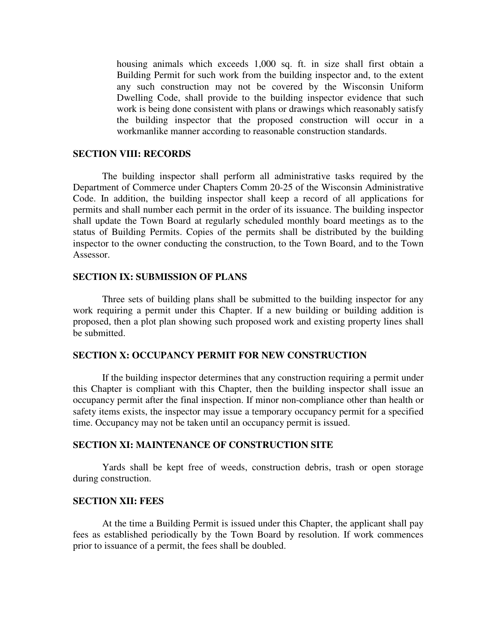housing animals which exceeds 1,000 sq. ft. in size shall first obtain a Building Permit for such work from the building inspector and, to the extent any such construction may not be covered by the Wisconsin Uniform Dwelling Code, shall provide to the building inspector evidence that such work is being done consistent with plans or drawings which reasonably satisfy the building inspector that the proposed construction will occur in a workmanlike manner according to reasonable construction standards.

# **SECTION VIII: RECORDS**

 The building inspector shall perform all administrative tasks required by the Department of Commerce under Chapters Comm 20-25 of the Wisconsin Administrative Code. In addition, the building inspector shall keep a record of all applications for permits and shall number each permit in the order of its issuance. The building inspector shall update the Town Board at regularly scheduled monthly board meetings as to the status of Building Permits. Copies of the permits shall be distributed by the building inspector to the owner conducting the construction, to the Town Board, and to the Town Assessor.

#### **SECTION IX: SUBMISSION OF PLANS**

 Three sets of building plans shall be submitted to the building inspector for any work requiring a permit under this Chapter. If a new building or building addition is proposed, then a plot plan showing such proposed work and existing property lines shall be submitted.

#### **SECTION X: OCCUPANCY PERMIT FOR NEW CONSTRUCTION**

 If the building inspector determines that any construction requiring a permit under this Chapter is compliant with this Chapter, then the building inspector shall issue an occupancy permit after the final inspection. If minor non-compliance other than health or safety items exists, the inspector may issue a temporary occupancy permit for a specified time. Occupancy may not be taken until an occupancy permit is issued.

#### **SECTION XI: MAINTENANCE OF CONSTRUCTION SITE**

 Yards shall be kept free of weeds, construction debris, trash or open storage during construction.

## **SECTION XII: FEES**

 At the time a Building Permit is issued under this Chapter, the applicant shall pay fees as established periodically by the Town Board by resolution. If work commences prior to issuance of a permit, the fees shall be doubled.